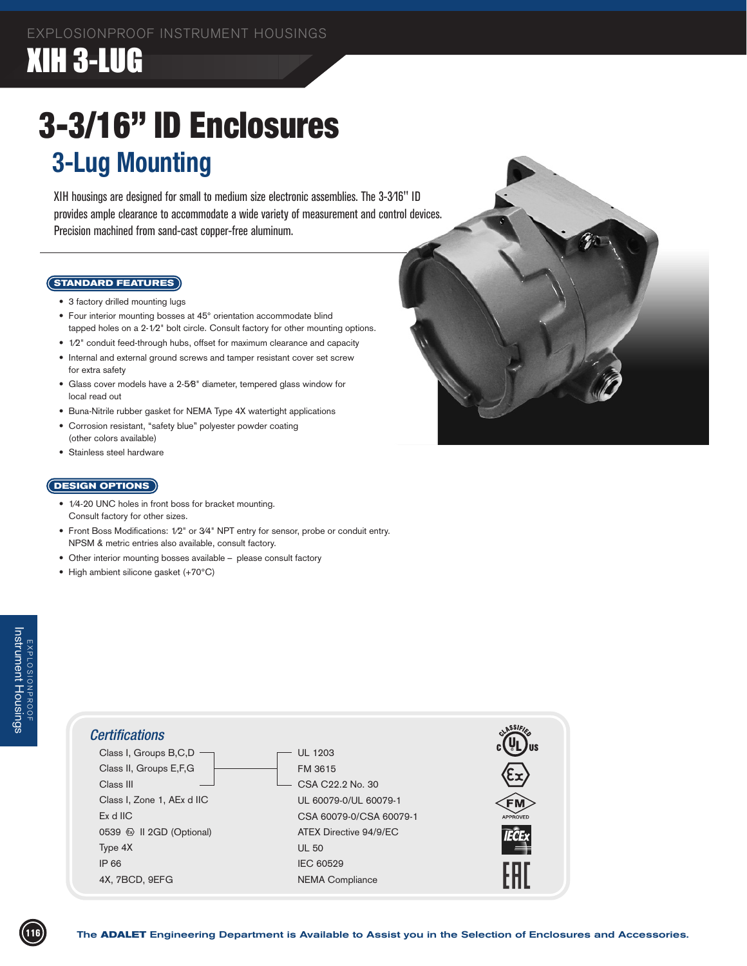## XIH 3-LUG

# 3-3/16" ID Enclosures **3-Lug Mounting**

XIH housings are designed for small to medium size electronic assemblies. The 3-3⁄16" ID provides ample clearance to accommodate a wide variety of measurement and control devices. Precision machined from sand-cast copper-free aluminum.

#### **STANDARD FEATURES**

- 3 factory drilled mounting lugs
- Four interior mounting bosses at 45° orientation accommodate blind tapped holes on a 2-1⁄2" bolt circle. Consult factory for other mounting options.
- $1/2$ " conduit feed-through hubs, offset for maximum clearance and capacity
- Internal and external ground screws and tamper resistant cover set screw for extra safety
- Glass cover models have a 2-5⁄8" diameter, tempered glass window for local read out
- Buna-Nitrile rubber gasket for NEMA Type 4X watertight applications
- Corrosion resistant, "safety blue" polyester powder coating (other colors available)
- Stainless steel hardware

### **DESIGN OPTIONS**

- 1/4-20 UNC holes in front boss for bracket mounting. Consult factory for other sizes.
- Front Boss Modifications: 1/2" or 3/4" NPT entry for sensor, probe or conduit entry. NPSM & metric entries also available, consult factory.
- Other interior mounting bosses available please consult factory
- High ambient silicone gasket (+70°C)